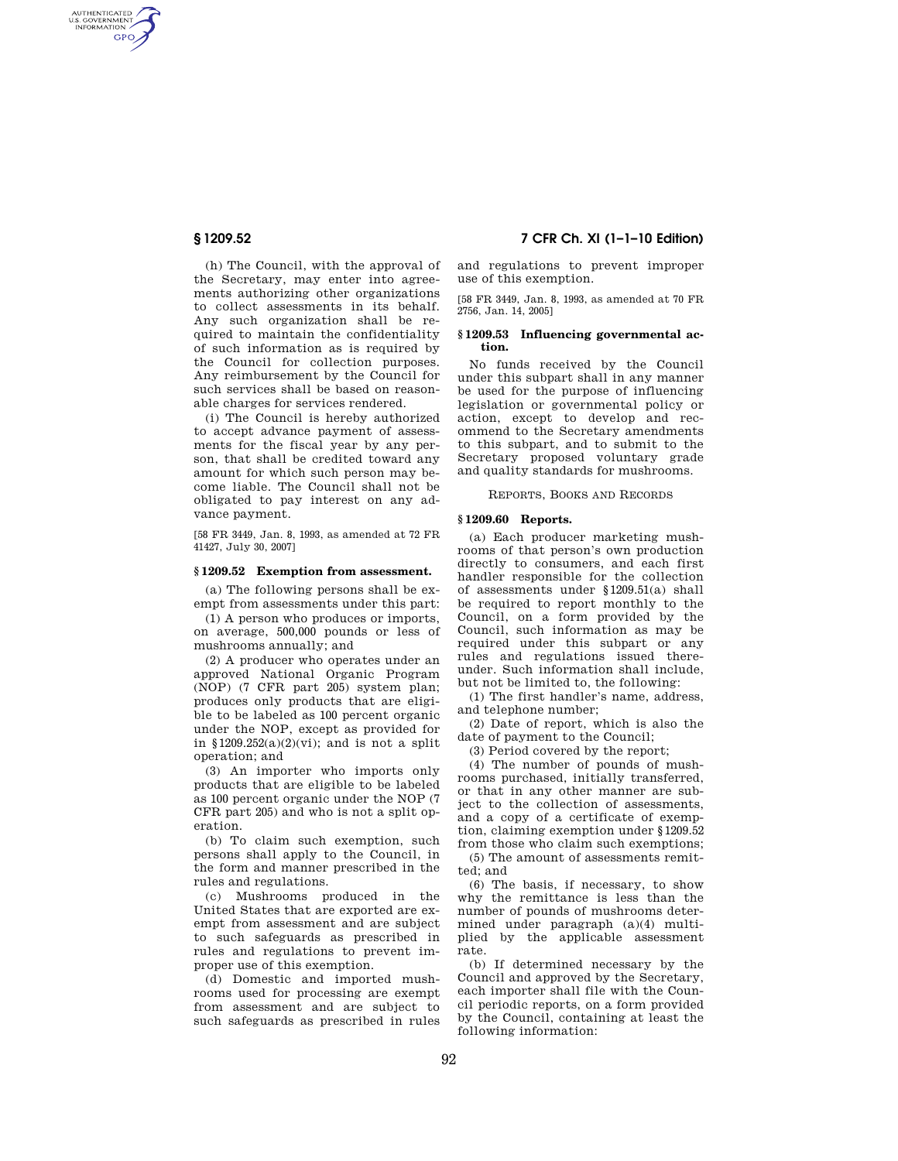AUTHENTICATED<br>U.S. GOVERNMENT<br>INFORMATION GPO

> (h) The Council, with the approval of the Secretary, may enter into agreements authorizing other organizations to collect assessments in its behalf. Any such organization shall be required to maintain the confidentiality of such information as is required by the Council for collection purposes. Any reimbursement by the Council for such services shall be based on reasonable charges for services rendered.

> (i) The Council is hereby authorized to accept advance payment of assessments for the fiscal year by any person, that shall be credited toward any amount for which such person may become liable. The Council shall not be obligated to pay interest on any advance payment.

> [58 FR 3449, Jan. 8, 1993, as amended at 72 FR 41427, July 30, 2007]

# **§ 1209.52 Exemption from assessment.**

(a) The following persons shall be exempt from assessments under this part:

(1) A person who produces or imports, on average, 500,000 pounds or less of mushrooms annually; and

(2) A producer who operates under an approved National Organic Program (NOP) (7 CFR part 205) system plan; produces only products that are eligible to be labeled as 100 percent organic under the NOP, except as provided for in  $$1209.252(a)(2)(vi)$ ; and is not a split operation; and

(3) An importer who imports only products that are eligible to be labeled as 100 percent organic under the NOP (7 CFR part 205) and who is not a split operation.

(b) To claim such exemption, such persons shall apply to the Council, in the form and manner prescribed in the rules and regulations.

(c) Mushrooms produced in the United States that are exported are exempt from assessment and are subject to such safeguards as prescribed in rules and regulations to prevent improper use of this exemption.

(d) Domestic and imported mushrooms used for processing are exempt from assessment and are subject to such safeguards as prescribed in rules

**§ 1209.52 7 CFR Ch. XI (1–1–10 Edition)** 

and regulations to prevent improper use of this exemption.

[58 FR 3449, Jan. 8, 1993, as amended at 70 FR 2756, Jan. 14, 2005]

## **§ 1209.53 Influencing governmental action.**

No funds received by the Council under this subpart shall in any manner be used for the purpose of influencing legislation or governmental policy or action, except to develop and recommend to the Secretary amendments to this subpart, and to submit to the Secretary proposed voluntary grade and quality standards for mushrooms.

# REPORTS, BOOKS AND RECORDS

# **§ 1209.60 Reports.**

(a) Each producer marketing mushrooms of that person's own production directly to consumers, and each first handler responsible for the collection of assessments under §1209.51(a) shall be required to report monthly to the Council, on a form provided by the Council, such information as may be required under this subpart or any rules and regulations issued thereunder. Such information shall include, but not be limited to, the following:

(1) The first handler's name, address, and telephone number;

(2) Date of report, which is also the date of payment to the Council;

(3) Period covered by the report;

(4) The number of pounds of mushrooms purchased, initially transferred, or that in any other manner are subject to the collection of assessments, and a copy of a certificate of exemption, claiming exemption under §1209.52 from those who claim such exemptions;

(5) The amount of assessments remitted; and

(6) The basis, if necessary, to show why the remittance is less than the number of pounds of mushrooms determined under paragraph (a)(4) multiplied by the applicable assessment rate.

(b) If determined necessary by the Council and approved by the Secretary, each importer shall file with the Council periodic reports, on a form provided by the Council, containing at least the following information: